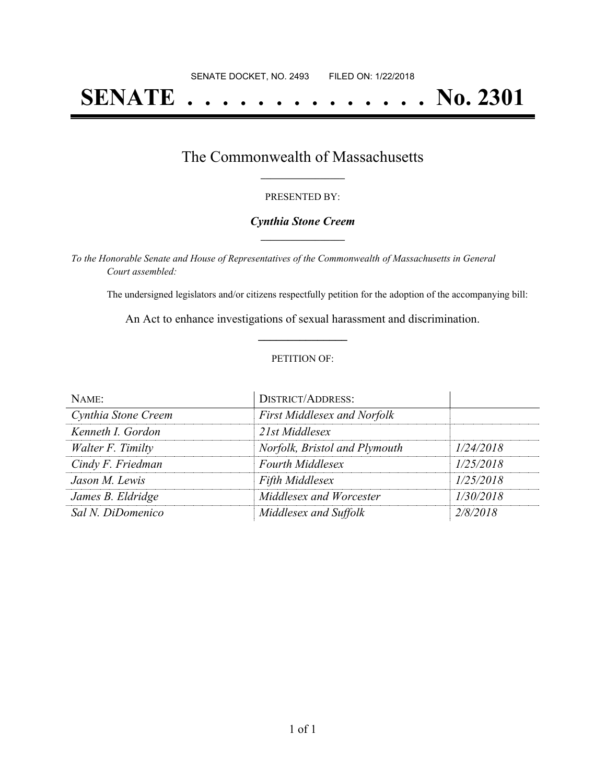# **SENATE . . . . . . . . . . . . . . No. 2301**

### The Commonwealth of Massachusetts **\_\_\_\_\_\_\_\_\_\_\_\_\_\_\_\_\_**

#### PRESENTED BY:

#### *Cynthia Stone Creem* **\_\_\_\_\_\_\_\_\_\_\_\_\_\_\_\_\_**

*To the Honorable Senate and House of Representatives of the Commonwealth of Massachusetts in General Court assembled:*

The undersigned legislators and/or citizens respectfully petition for the adoption of the accompanying bill:

An Act to enhance investigations of sexual harassment and discrimination. **\_\_\_\_\_\_\_\_\_\_\_\_\_\_\_**

#### PETITION OF:

| NAME:               | <b>DISTRICT/ADDRESS:</b>           |           |
|---------------------|------------------------------------|-----------|
| Cynthia Stone Creem | <b>First Middlesex and Norfolk</b> |           |
| Kenneth I. Gordon   | 21st Middlesex                     |           |
| Walter F. Timilty   | Norfolk, Bristol and Plymouth      | 1/24/2018 |
| Cindy F. Friedman   | <b>Fourth Middlesex</b>            | 1/25/2018 |
| Jason M. Lewis      | <b>Fifth Middlesex</b>             | 1/25/2018 |
| James B. Eldridge   | Middlesex and Worcester            | 1/30/2018 |
| Sal N. DiDomenico   | Middlesex and Suffolk              | 2/8/2018  |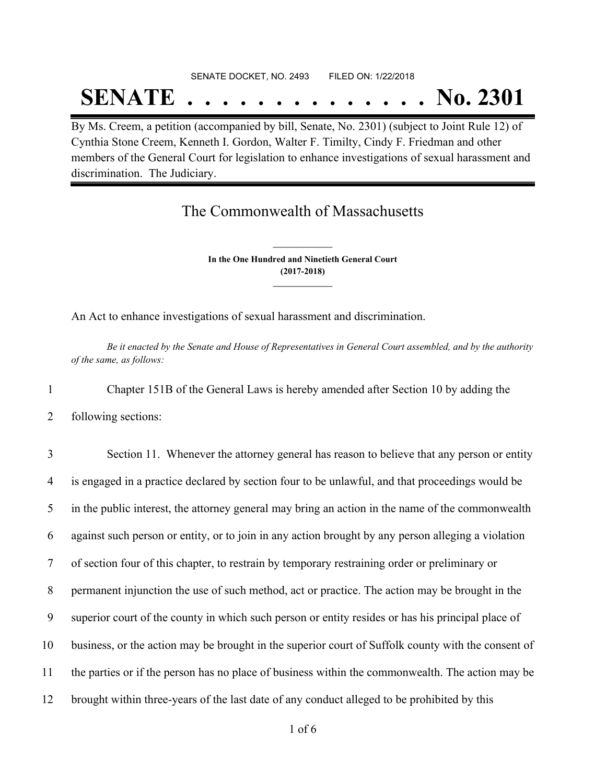## SENATE DOCKET, NO. 2493 FILED ON: 1/22/2018

# **SENATE . . . . . . . . . . . . . . No. 2301**

By Ms. Creem, a petition (accompanied by bill, Senate, No. 2301) (subject to Joint Rule 12) of Cynthia Stone Creem, Kenneth I. Gordon, Walter F. Timilty, Cindy F. Friedman and other members of the General Court for legislation to enhance investigations of sexual harassment and discrimination. The Judiciary.

### The Commonwealth of Massachusetts

**In the One Hundred and Ninetieth General Court (2017-2018) \_\_\_\_\_\_\_\_\_\_\_\_\_\_\_**

**\_\_\_\_\_\_\_\_\_\_\_\_\_\_\_**

An Act to enhance investigations of sexual harassment and discrimination.

Be it enacted by the Senate and House of Representatives in General Court assembled, and by the authority *of the same, as follows:*

1 Chapter 151B of the General Laws is hereby amended after Section 10 by adding the

2 following sections:

 Section 11. Whenever the attorney general has reason to believe that any person or entity is engaged in a practice declared by section four to be unlawful, and that proceedings would be in the public interest, the attorney general may bring an action in the name of the commonwealth against such person or entity, or to join in any action brought by any person alleging a violation of section four of this chapter, to restrain by temporary restraining order or preliminary or permanent injunction the use of such method, act or practice. The action may be brought in the superior court of the county in which such person or entity resides or has his principal place of business, or the action may be brought in the superior court of Suffolk county with the consent of the parties or if the person has no place of business within the commonwealth. The action may be brought within three-years of the last date of any conduct alleged to be prohibited by this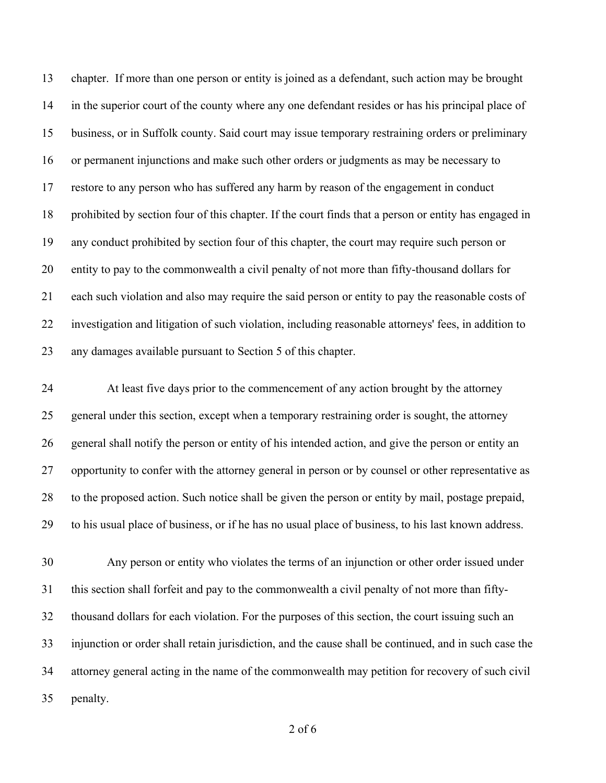chapter. If more than one person or entity is joined as a defendant, such action may be brought in the superior court of the county where any one defendant resides or has his principal place of business, or in Suffolk county. Said court may issue temporary restraining orders or preliminary or permanent injunctions and make such other orders or judgments as may be necessary to restore to any person who has suffered any harm by reason of the engagement in conduct prohibited by section four of this chapter. If the court finds that a person or entity has engaged in any conduct prohibited by section four of this chapter, the court may require such person or entity to pay to the commonwealth a civil penalty of not more than fifty-thousand dollars for each such violation and also may require the said person or entity to pay the reasonable costs of investigation and litigation of such violation, including reasonable attorneys' fees, in addition to any damages available pursuant to Section 5 of this chapter.

 At least five days prior to the commencement of any action brought by the attorney general under this section, except when a temporary restraining order is sought, the attorney general shall notify the person or entity of his intended action, and give the person or entity an opportunity to confer with the attorney general in person or by counsel or other representative as to the proposed action. Such notice shall be given the person or entity by mail, postage prepaid, to his usual place of business, or if he has no usual place of business, to his last known address.

 Any person or entity who violates the terms of an injunction or other order issued under this section shall forfeit and pay to the commonwealth a civil penalty of not more than fifty- thousand dollars for each violation. For the purposes of this section, the court issuing such an injunction or order shall retain jurisdiction, and the cause shall be continued, and in such case the attorney general acting in the name of the commonwealth may petition for recovery of such civil penalty.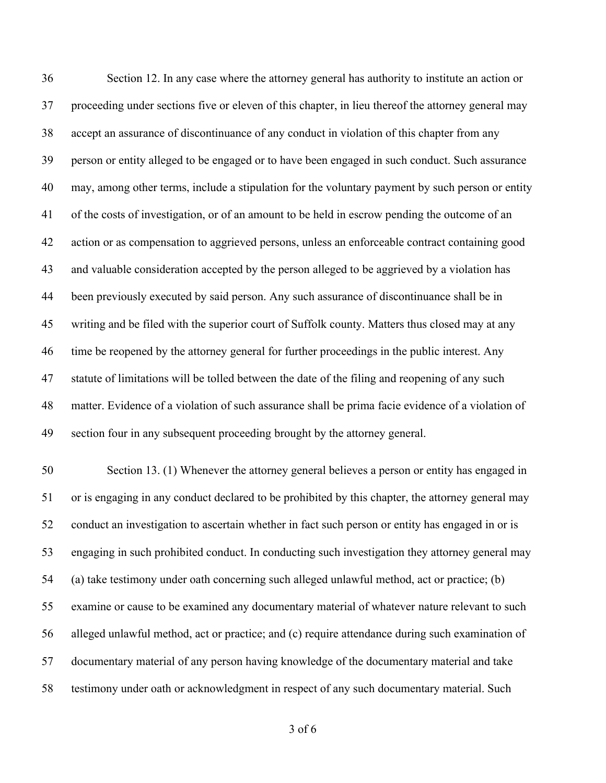Section 12. In any case where the attorney general has authority to institute an action or proceeding under sections five or eleven of this chapter, in lieu thereof the attorney general may accept an assurance of discontinuance of any conduct in violation of this chapter from any person or entity alleged to be engaged or to have been engaged in such conduct. Such assurance may, among other terms, include a stipulation for the voluntary payment by such person or entity of the costs of investigation, or of an amount to be held in escrow pending the outcome of an action or as compensation to aggrieved persons, unless an enforceable contract containing good and valuable consideration accepted by the person alleged to be aggrieved by a violation has been previously executed by said person. Any such assurance of discontinuance shall be in writing and be filed with the superior court of Suffolk county. Matters thus closed may at any 46 time be reopened by the attorney general for further proceedings in the public interest. Any statute of limitations will be tolled between the date of the filing and reopening of any such matter. Evidence of a violation of such assurance shall be prima facie evidence of a violation of section four in any subsequent proceeding brought by the attorney general. Section 13. (1) Whenever the attorney general believes a person or entity has engaged in or is engaging in any conduct declared to be prohibited by this chapter, the attorney general may conduct an investigation to ascertain whether in fact such person or entity has engaged in or is engaging in such prohibited conduct. In conducting such investigation they attorney general may (a) take testimony under oath concerning such alleged unlawful method, act or practice; (b) examine or cause to be examined any documentary material of whatever nature relevant to such alleged unlawful method, act or practice; and (c) require attendance during such examination of documentary material of any person having knowledge of the documentary material and take

testimony under oath or acknowledgment in respect of any such documentary material. Such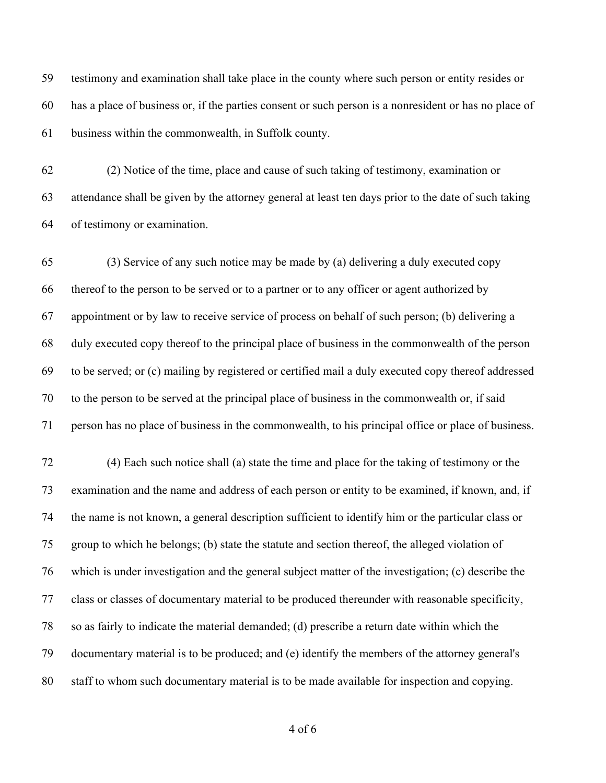testimony and examination shall take place in the county where such person or entity resides or has a place of business or, if the parties consent or such person is a nonresident or has no place of business within the commonwealth, in Suffolk county.

 (2) Notice of the time, place and cause of such taking of testimony, examination or attendance shall be given by the attorney general at least ten days prior to the date of such taking of testimony or examination.

 (3) Service of any such notice may be made by (a) delivering a duly executed copy thereof to the person to be served or to a partner or to any officer or agent authorized by appointment or by law to receive service of process on behalf of such person; (b) delivering a duly executed copy thereof to the principal place of business in the commonwealth of the person to be served; or (c) mailing by registered or certified mail a duly executed copy thereof addressed to the person to be served at the principal place of business in the commonwealth or, if said person has no place of business in the commonwealth, to his principal office or place of business.

 (4) Each such notice shall (a) state the time and place for the taking of testimony or the examination and the name and address of each person or entity to be examined, if known, and, if the name is not known, a general description sufficient to identify him or the particular class or group to which he belongs; (b) state the statute and section thereof, the alleged violation of which is under investigation and the general subject matter of the investigation; (c) describe the class or classes of documentary material to be produced thereunder with reasonable specificity, so as fairly to indicate the material demanded; (d) prescribe a return date within which the documentary material is to be produced; and (e) identify the members of the attorney general's staff to whom such documentary material is to be made available for inspection and copying.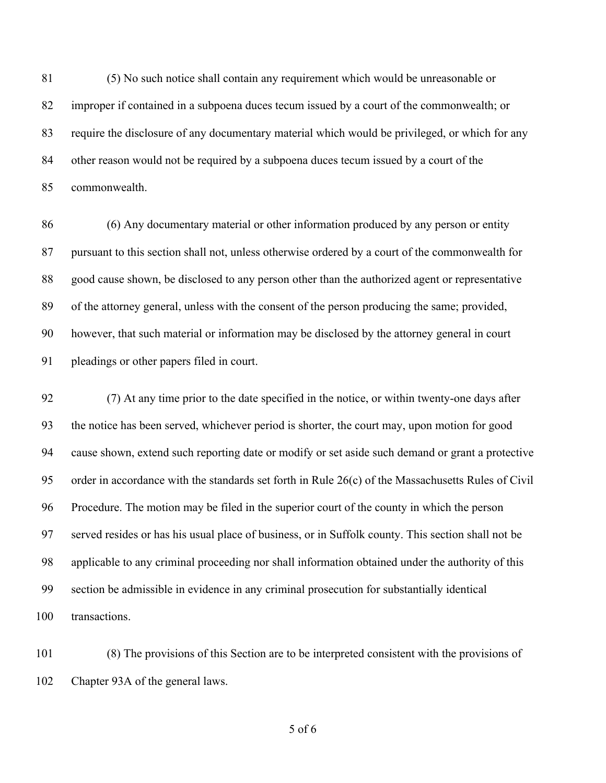(5) No such notice shall contain any requirement which would be unreasonable or improper if contained in a subpoena duces tecum issued by a court of the commonwealth; or require the disclosure of any documentary material which would be privileged, or which for any other reason would not be required by a subpoena duces tecum issued by a court of the commonwealth.

 (6) Any documentary material or other information produced by any person or entity pursuant to this section shall not, unless otherwise ordered by a court of the commonwealth for good cause shown, be disclosed to any person other than the authorized agent or representative of the attorney general, unless with the consent of the person producing the same; provided, however, that such material or information may be disclosed by the attorney general in court pleadings or other papers filed in court.

 (7) At any time prior to the date specified in the notice, or within twenty-one days after the notice has been served, whichever period is shorter, the court may, upon motion for good cause shown, extend such reporting date or modify or set aside such demand or grant a protective order in accordance with the standards set forth in Rule 26(c) of the Massachusetts Rules of Civil Procedure. The motion may be filed in the superior court of the county in which the person served resides or has his usual place of business, or in Suffolk county. This section shall not be applicable to any criminal proceeding nor shall information obtained under the authority of this section be admissible in evidence in any criminal prosecution for substantially identical transactions.

 (8) The provisions of this Section are to be interpreted consistent with the provisions of Chapter 93A of the general laws.